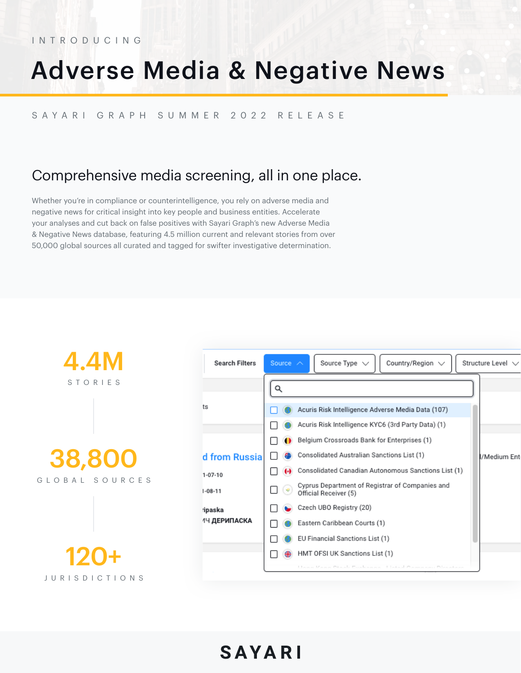# Adverse Media & Negative News

**SAYARI** 

#### SAYARI GRAPH SUMMER 2022 RELEASE

## Comprehensive media screening, all in one place.

Whether you're in compliance or counterintelligence, you rely on adverse media and negative news for critical insight into key people and business entities. Accelerate your analyses and cut back on false positives with Sayari Graph's new Adverse Media & Negative News database, featuring 4.5 million current and relevant stories from over 50,000 global sources all curated and tagged for swifter investigative determination.

| <b>4.4M</b><br>STORIES          |
|---------------------------------|
|                                 |
| <b>38,800</b><br>GLOBAL SOURCES |
|                                 |
| 120+<br><b>JURISDICTIONS</b>    |

| <b>Search Filters</b> | Source $\wedge$<br>Source Type $\vee$<br>Country/Region $\vee$           | Structure Level $\vee$ |
|-----------------------|--------------------------------------------------------------------------|------------------------|
|                       | Q                                                                        |                        |
| ts                    | Acuris Risk Intelligence Adverse Media Data (107)                        |                        |
|                       | Acuris Risk Intelligence KYC6 (3rd Party Data) (1)                       |                        |
|                       | Belgium Crossroads Bank for Enterprises (1)                              |                        |
| d from Russia         | Consolidated Australian Sanctions List (1)                               | l/Medium Ent           |
| $1 - 07 - 10$         | Consolidated Canadian Autonomous Sanctions List (1)<br>0                 |                        |
| $1 - 08 - 11$         | Cyprus Department of Registrar of Companies and<br>Official Receiver (5) |                        |
| ripaska               | Czech UBO Registry (20)                                                  |                        |
| 1Ч <b>ДЕРИПАСКА</b>   | Eastern Caribbean Courts (1)                                             |                        |
|                       | EU Financial Sanctions List (1)                                          |                        |
|                       | HMT OFSI UK Sanctions List (1)<br>₩                                      |                        |
|                       | Unna Vana Obeste Euskanna - Listed Bassannu                              |                        |